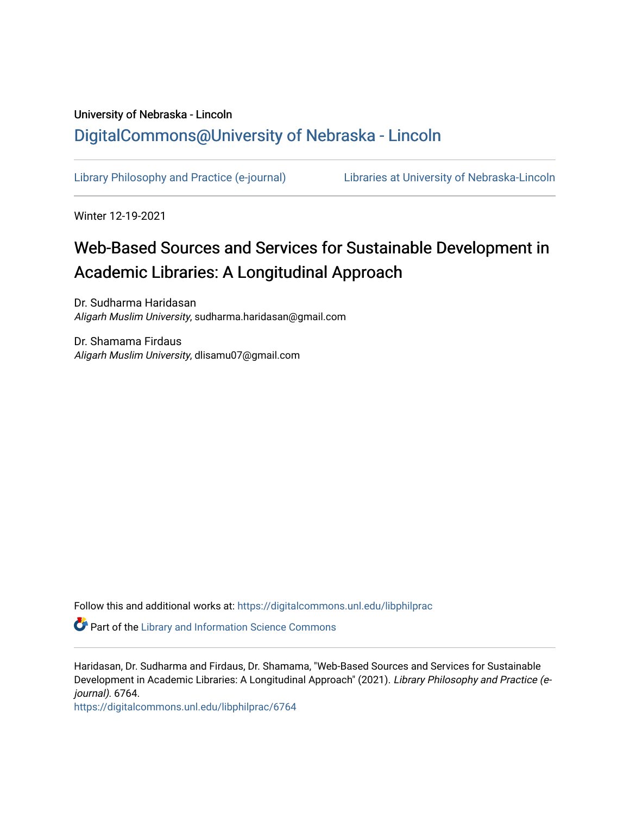# University of Nebraska - Lincoln [DigitalCommons@University of Nebraska - Lincoln](https://digitalcommons.unl.edu/)

[Library Philosophy and Practice \(e-journal\)](https://digitalcommons.unl.edu/libphilprac) [Libraries at University of Nebraska-Lincoln](https://digitalcommons.unl.edu/libraries) 

Winter 12-19-2021

# Web-Based Sources and Services for Sustainable Development in Academic Libraries: A Longitudinal Approach

Dr. Sudharma Haridasan Aligarh Muslim University, sudharma.haridasan@gmail.com

Dr. Shamama Firdaus Aligarh Muslim University, dlisamu07@gmail.com

Follow this and additional works at: [https://digitalcommons.unl.edu/libphilprac](https://digitalcommons.unl.edu/libphilprac?utm_source=digitalcommons.unl.edu%2Flibphilprac%2F6764&utm_medium=PDF&utm_campaign=PDFCoverPages) 

**P** Part of the Library and Information Science Commons

Haridasan, Dr. Sudharma and Firdaus, Dr. Shamama, "Web-Based Sources and Services for Sustainable Development in Academic Libraries: A Longitudinal Approach" (2021). Library Philosophy and Practice (ejournal). 6764.

[https://digitalcommons.unl.edu/libphilprac/6764](https://digitalcommons.unl.edu/libphilprac/6764?utm_source=digitalcommons.unl.edu%2Flibphilprac%2F6764&utm_medium=PDF&utm_campaign=PDFCoverPages)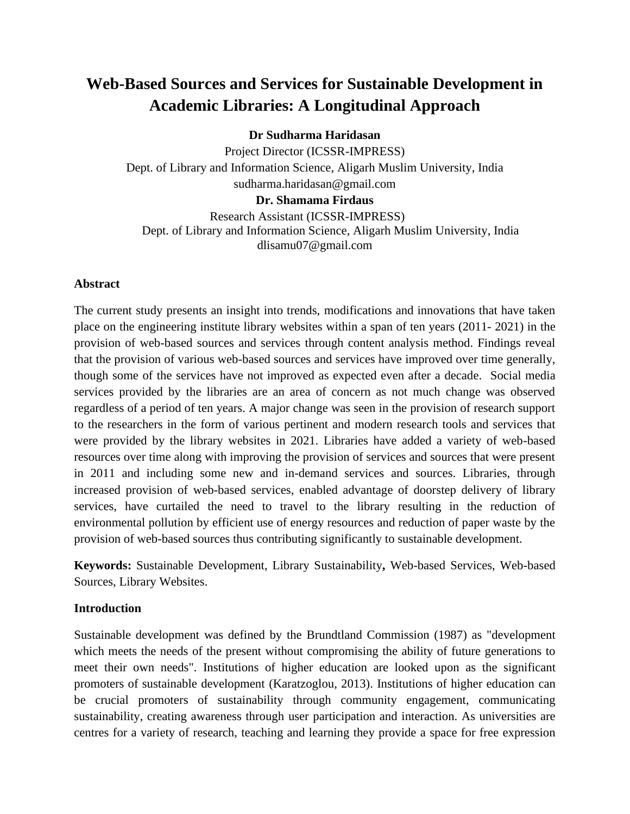# **Web-Based Sources and Services for Sustainable Development in Academic Libraries: A Longitudinal Approach**

**Dr Sudharma Haridasan**

Project Director (ICSSR-IMPRESS) Dept. of Library and Information Science, Aligarh Muslim University, India sudharma.haridasan@gmail.com **Dr. Shamama Firdaus** Research Assistant (ICSSR-IMPRESS) Dept. of Library and Information Science, Aligarh Muslim University, India

dlisamu07@gmail.com

# **Abstract**

The current study presents an insight into trends, modifications and innovations that have taken place on the engineering institute library websites within a span of ten years (2011- 2021) in the provision of web-based sources and services through content analysis method. Findings reveal that the provision of various web-based sources and services have improved over time generally, though some of the services have not improved as expected even after a decade. Social media services provided by the libraries are an area of concern as not much change was observed regardless of a period of ten years. A major change was seen in the provision of research support to the researchers in the form of various pertinent and modern research tools and services that were provided by the library websites in 2021. Libraries have added a variety of web-based resources over time along with improving the provision of services and sources that were present in 2011 and including some new and in-demand services and sources. Libraries, through increased provision of web-based services, enabled advantage of doorstep delivery of library services, have curtailed the need to travel to the library resulting in the reduction of environmental pollution by efficient use of energy resources and reduction of paper waste by the provision of web-based sources thus contributing significantly to sustainable development.

**Keywords:** Sustainable Development, Library Sustainability**,** Web-based Services, Web-based Sources, Library Websites.

# **Introduction**

Sustainable development was defined by the Brundtland Commission (1987) as "development which meets the needs of the present without compromising the ability of future generations to meet their own needs". Institutions of higher education are looked upon as the significant promoters of sustainable development (Karatzoglou, 2013). Institutions of higher education can be crucial promoters of sustainability through community engagement, communicating sustainability, creating awareness through user participation and interaction. As universities are centres for a variety of research, teaching and learning they provide a space for free expression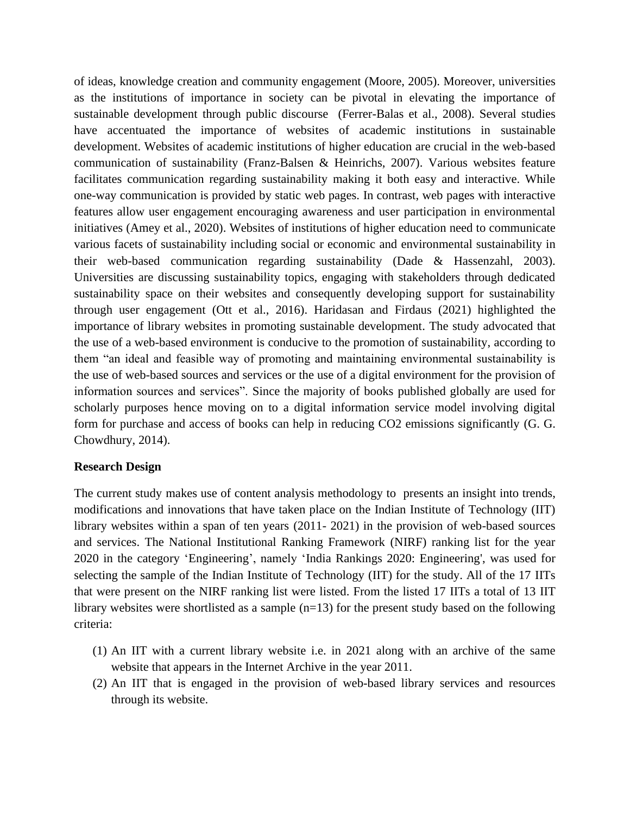of ideas, knowledge creation and community engagement (Moore, 2005). Moreover, universities as the institutions of importance in society can be pivotal in elevating the importance of sustainable development through public discourse (Ferrer-Balas et al., 2008). Several studies have accentuated the importance of websites of academic institutions in sustainable development. Websites of academic institutions of higher education are crucial in the web-based communication of sustainability (Franz-Balsen & Heinrichs, 2007). Various websites feature facilitates communication regarding sustainability making it both easy and interactive. While one-way communication is provided by static web pages. In contrast, web pages with interactive features allow user engagement encouraging awareness and user participation in environmental initiatives (Amey et al., 2020). Websites of institutions of higher education need to communicate various facets of sustainability including social or economic and environmental sustainability in their web-based communication regarding sustainability (Dade & Hassenzahl, 2003). Universities are discussing sustainability topics, engaging with stakeholders through dedicated sustainability space on their websites and consequently developing support for sustainability through user engagement (Ott et al., 2016). Haridasan and Firdaus (2021) highlighted the importance of library websites in promoting sustainable development. The study advocated that the use of a web-based environment is conducive to the promotion of sustainability, according to them "an ideal and feasible way of promoting and maintaining environmental sustainability is the use of web-based sources and services or the use of a digital environment for the provision of information sources and services". Since the majority of books published globally are used for scholarly purposes hence moving on to a digital information service model involving digital form for purchase and access of books can help in reducing CO2 emissions significantly (G. G. Chowdhury, 2014).

#### **Research Design**

The current study makes use of content analysis methodology to presents an insight into trends, modifications and innovations that have taken place on the Indian Institute of Technology (IIT) library websites within a span of ten years (2011- 2021) in the provision of web-based sources and services. The National Institutional Ranking Framework (NIRF) ranking list for the year 2020 in the category 'Engineering', namely 'India Rankings 2020: Engineering', was used for selecting the sample of the Indian Institute of Technology (IIT) for the study. All of the 17 IITs that were present on the NIRF ranking list were listed. From the listed 17 IITs a total of 13 IIT library websites were shortlisted as a sample  $(n=13)$  for the present study based on the following criteria:

- (1) An IIT with a current library website i.e. in 2021 along with an archive of the same website that appears in the Internet Archive in the year 2011.
- (2) An IIT that is engaged in the provision of web-based library services and resources through its website.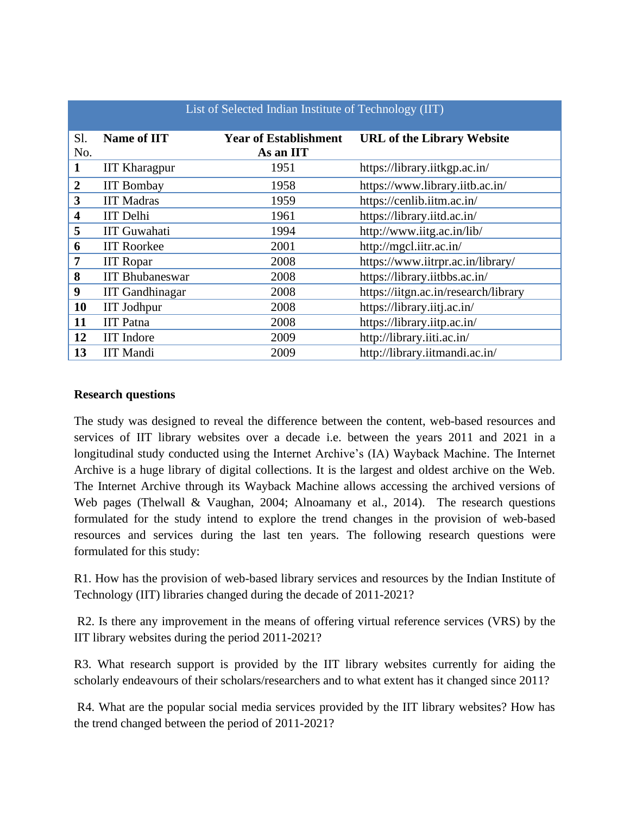|                         | List of Selected Indian Institute of Technology (IIT) |                                           |                                      |  |
|-------------------------|-------------------------------------------------------|-------------------------------------------|--------------------------------------|--|
| Sl.<br>No.              | <b>Name of IIT</b>                                    | <b>Year of Establishment</b><br>As an IIT | <b>URL of the Library Website</b>    |  |
| $\mathbf{1}$            | <b>IIT Kharagpur</b>                                  | 1951                                      | https://library.iitkgp.ac.in/        |  |
| $\boldsymbol{2}$        | <b>IIT Bombay</b>                                     | 1958                                      | https://www.library.iitb.ac.in/      |  |
| 3                       | <b>IIT Madras</b>                                     | 1959                                      | https://cenlib.iitm.ac.in/           |  |
| $\overline{\mathbf{4}}$ | <b>IIT</b> Delhi                                      | 1961                                      | https://library.iitd.ac.in/          |  |
| 5                       | <b>IIT Guwahati</b>                                   | 1994                                      | http://www.iitg.ac.in/lib/           |  |
| 6                       | <b>IIT Roorkee</b>                                    | 2001                                      | http://mgcl.iitr.ac.in/              |  |
| 7                       | <b>IIT Ropar</b>                                      | 2008                                      | https://www.iitrpr.ac.in/library/    |  |
| 8                       | <b>IIT Bhubaneswar</b>                                | 2008                                      | https://library.iitbbs.ac.in/        |  |
| 9                       | <b>IIT</b> Gandhinagar                                | 2008                                      | https://iitgn.ac.in/research/library |  |
| 10                      | <b>IIT Jodhpur</b>                                    | 2008                                      | https://library.iitj.ac.in/          |  |
| 11                      | <b>IIT</b> Patna                                      | 2008                                      | https://library.iitp.ac.in/          |  |
| 12                      | <b>IIT</b> Indore                                     | 2009                                      | http://library.iiti.ac.in/           |  |
| 13                      | <b>IIT Mandi</b>                                      | 2009                                      | http://library.iitmandi.ac.in/       |  |

# **Research questions**

The study was designed to reveal the difference between the content, web-based resources and services of IIT library websites over a decade i.e. between the years 2011 and 2021 in a longitudinal study conducted using the Internet Archive's (IA) Wayback Machine. The Internet Archive is a huge library of digital collections. It is the largest and oldest archive on the Web. The Internet Archive through its Wayback Machine allows accessing the archived versions of Web pages (Thelwall & Vaughan, 2004; Alnoamany et al., 2014). The research questions formulated for the study intend to explore the trend changes in the provision of web-based resources and services during the last ten years. The following research questions were formulated for this study:

R1. How has the provision of web-based library services and resources by the Indian Institute of Technology (IIT) libraries changed during the decade of 2011-2021?

R2. Is there any improvement in the means of offering virtual reference services (VRS) by the IIT library websites during the period 2011-2021?

R3. What research support is provided by the IIT library websites currently for aiding the scholarly endeavours of their scholars/researchers and to what extent has it changed since 2011?

R4. What are the popular social media services provided by the IIT library websites? How has the trend changed between the period of 2011-2021?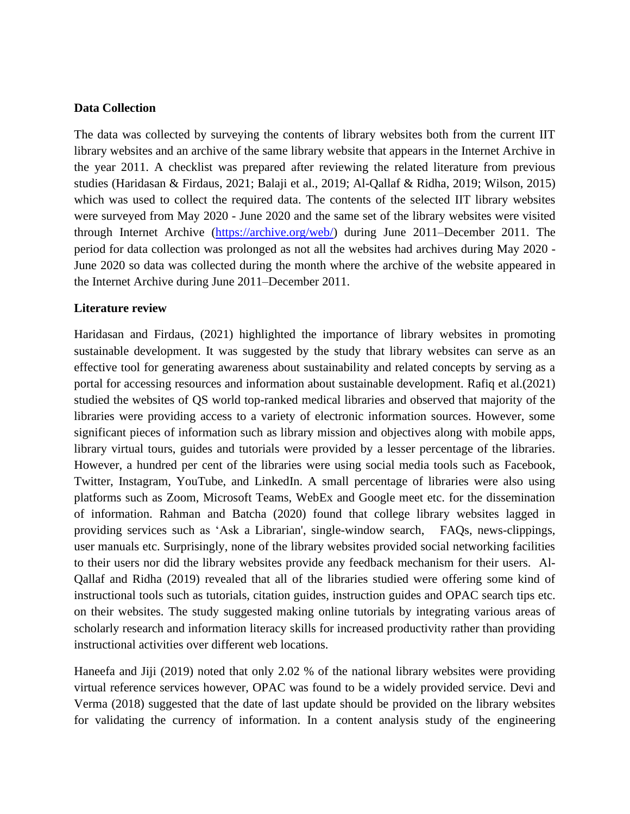# **Data Collection**

The data was collected by surveying the contents of library websites both from the current IIT library websites and an archive of the same library website that appears in the Internet Archive in the year 2011. A checklist was prepared after reviewing the related literature from previous studies (Haridasan & Firdaus, 2021; Balaji et al., 2019; Al-Qallaf & Ridha, 2019; Wilson, 2015) which was used to collect the required data. The contents of the selected IIT library websites were surveyed from May 2020 - June 2020 and the same set of the library websites were visited through Internet Archive [\(https://archive.org/web/\)](https://archive.org/web/) during June 2011–December 2011. The period for data collection was prolonged as not all the websites had archives during May 2020 - June 2020 so data was collected during the month where the archive of the website appeared in the Internet Archive during June 2011–December 2011.

# **Literature review**

Haridasan and Firdaus, (2021) highlighted the importance of library websites in promoting sustainable development. It was suggested by the study that library websites can serve as an effective tool for generating awareness about sustainability and related concepts by serving as a portal for accessing resources and information about sustainable development. Rafiq et al.(2021) studied the websites of QS world top-ranked medical libraries and observed that majority of the libraries were providing access to a variety of electronic information sources. However, some significant pieces of information such as library mission and objectives along with mobile apps, library virtual tours, guides and tutorials were provided by a lesser percentage of the libraries. However, a hundred per cent of the libraries were using social media tools such as Facebook, Twitter, Instagram, YouTube, and LinkedIn. A small percentage of libraries were also using platforms such as Zoom, Microsoft Teams, WebEx and Google meet etc. for the dissemination of information. Rahman and Batcha (2020) found that college library websites lagged in providing services such as 'Ask a Librarian', single-window search, FAQs, news-clippings, user manuals etc. Surprisingly, none of the library websites provided social networking facilities to their users nor did the library websites provide any feedback mechanism for their users. Al-Qallaf and Ridha (2019) revealed that all of the libraries studied were offering some kind of instructional tools such as tutorials, citation guides, instruction guides and OPAC search tips etc. on their websites. The study suggested making online tutorials by integrating various areas of scholarly research and information literacy skills for increased productivity rather than providing instructional activities over different web locations.

Haneefa and Jiji (2019) noted that only 2.02 % of the national library websites were providing virtual reference services however, OPAC was found to be a widely provided service. Devi and Verma (2018) suggested that the date of last update should be provided on the library websites for validating the currency of information. In a content analysis study of the engineering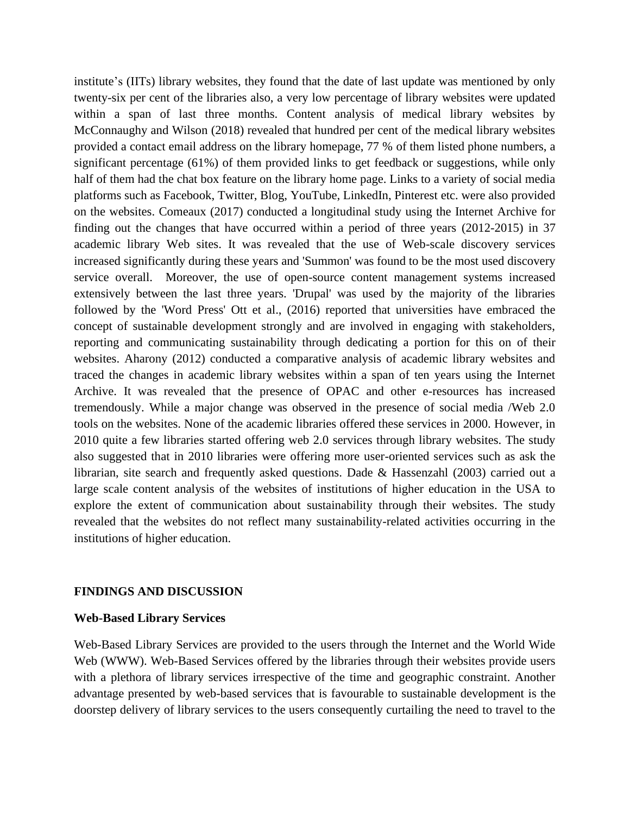institute's (IITs) library websites, they found that the date of last update was mentioned by only twenty-six per cent of the libraries also, a very low percentage of library websites were updated within a span of last three months. Content analysis of medical library websites by McConnaughy and Wilson (2018) revealed that hundred per cent of the medical library websites provided a contact email address on the library homepage, 77 % of them listed phone numbers, a significant percentage (61%) of them provided links to get feedback or suggestions, while only half of them had the chat box feature on the library home page. Links to a variety of social media platforms such as Facebook, Twitter, Blog, YouTube, LinkedIn, Pinterest etc. were also provided on the websites. Comeaux (2017) conducted a longitudinal study using the Internet Archive for finding out the changes that have occurred within a period of three years (2012-2015) in 37 academic library Web sites. It was revealed that the use of Web-scale discovery services increased significantly during these years and 'Summon' was found to be the most used discovery service overall. Moreover, the use of open-source content management systems increased extensively between the last three years. 'Drupal' was used by the majority of the libraries followed by the 'Word Press' Ott et al., (2016) reported that universities have embraced the concept of sustainable development strongly and are involved in engaging with stakeholders, reporting and communicating sustainability through dedicating a portion for this on of their websites. Aharony (2012) conducted a comparative analysis of academic library websites and traced the changes in academic library websites within a span of ten years using the Internet Archive. It was revealed that the presence of OPAC and other e-resources has increased tremendously. While a major change was observed in the presence of social media /Web 2.0 tools on the websites. None of the academic libraries offered these services in 2000. However, in 2010 quite a few libraries started offering web 2.0 services through library websites. The study also suggested that in 2010 libraries were offering more user-oriented services such as ask the librarian, site search and frequently asked questions. Dade & Hassenzahl (2003) carried out a large scale content analysis of the websites of institutions of higher education in the USA to explore the extent of communication about sustainability through their websites. The study revealed that the websites do not reflect many sustainability-related activities occurring in the institutions of higher education.

#### **FINDINGS AND DISCUSSION**

#### **Web-Based Library Services**

Web-Based Library Services are provided to the users through the Internet and the World Wide Web (WWW). Web-Based Services offered by the libraries through their websites provide users with a plethora of library services irrespective of the time and geographic constraint. Another advantage presented by web-based services that is favourable to sustainable development is the doorstep delivery of library services to the users consequently curtailing the need to travel to the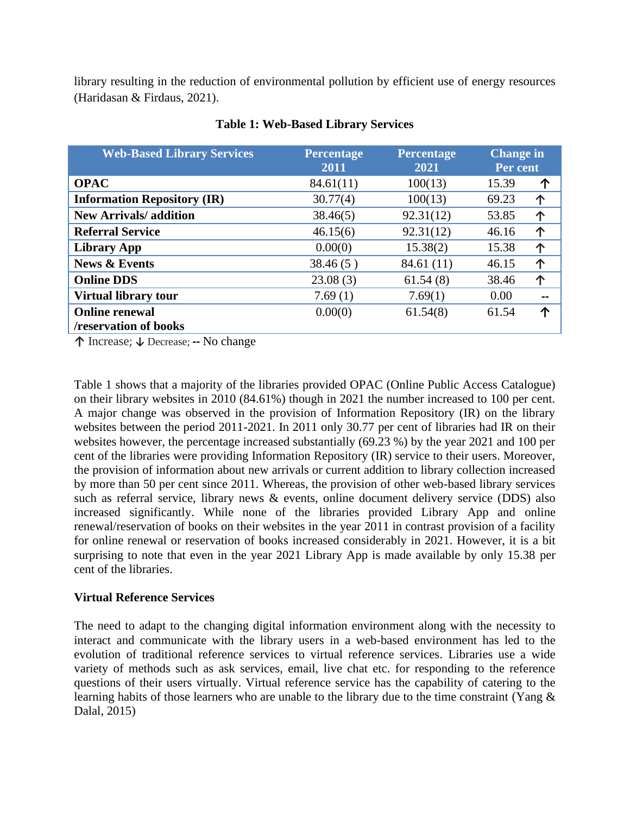library resulting in the reduction of environmental pollution by efficient use of energy resources (Haridasan & Firdaus, 2021).

| <b>Web-Based Library Services</b>  | <b>Percentage</b><br>2011 | <b>Percentage</b><br>2021 | <b>Change</b> in<br>Per cent |   |
|------------------------------------|---------------------------|---------------------------|------------------------------|---|
| <b>OPAC</b>                        | 84.61(11)                 | 100(13)                   | 15.39                        | 个 |
| <b>Information Repository (IR)</b> | 30.77(4)                  | 100(13)                   | 69.23                        | 个 |
| <b>New Arrivals/addition</b>       | 38.46(5)                  | 92.31(12)                 | 53.85                        | 个 |
| <b>Referral Service</b>            | 46.15(6)                  | 92.31(12)                 | 46.16                        | 个 |
| <b>Library App</b>                 | 0.00(0)                   | 15.38(2)                  | 15.38                        | 个 |
| <b>News &amp; Events</b>           | 38.46(5)                  | 84.61(11)                 | 46.15                        | 个 |
| <b>Online DDS</b>                  | 23.08(3)                  | 61.54(8)                  | 38.46                        | 个 |
| <b>Virtual library tour</b>        | 7.69(1)                   | 7.69(1)                   | 0.00                         |   |
| <b>Online renewal</b>              | 0.00(0)                   | 61.54(8)                  | 61.54                        | ጥ |
| /reservation of books              |                           |                           |                              |   |

# **Table 1: Web-Based Library Services**

**↑** Increase; **↓** Decrease; **--** No change

Table 1 shows that a majority of the libraries provided OPAC (Online Public Access Catalogue) on their library websites in 2010 (84.61%) though in 2021 the number increased to 100 per cent. A major change was observed in the provision of Information Repository (IR) on the library websites between the period 2011-2021. In 2011 only 30.77 per cent of libraries had IR on their websites however, the percentage increased substantially (69.23 %) by the year 2021 and 100 per cent of the libraries were providing Information Repository (IR) service to their users. Moreover, the provision of information about new arrivals or current addition to library collection increased by more than 50 per cent since 2011. Whereas, the provision of other web-based library services such as referral service, library news & events, online document delivery service (DDS) also increased significantly. While none of the libraries provided Library App and online renewal/reservation of books on their websites in the year 2011 in contrast provision of a facility for online renewal or reservation of books increased considerably in 2021. However, it is a bit surprising to note that even in the year 2021 Library App is made available by only 15.38 per cent of the libraries.

# **Virtual Reference Services**

The need to adapt to the changing digital information environment along with the necessity to interact and communicate with the library users in a web-based environment has led to the evolution of traditional reference services to virtual reference services. Libraries use a wide variety of methods such as ask services, email, live chat etc. for responding to the reference questions of their users virtually. Virtual reference service has the capability of catering to the learning habits of those learners who are unable to the library due to the time constraint (Yang & Dalal, 2015)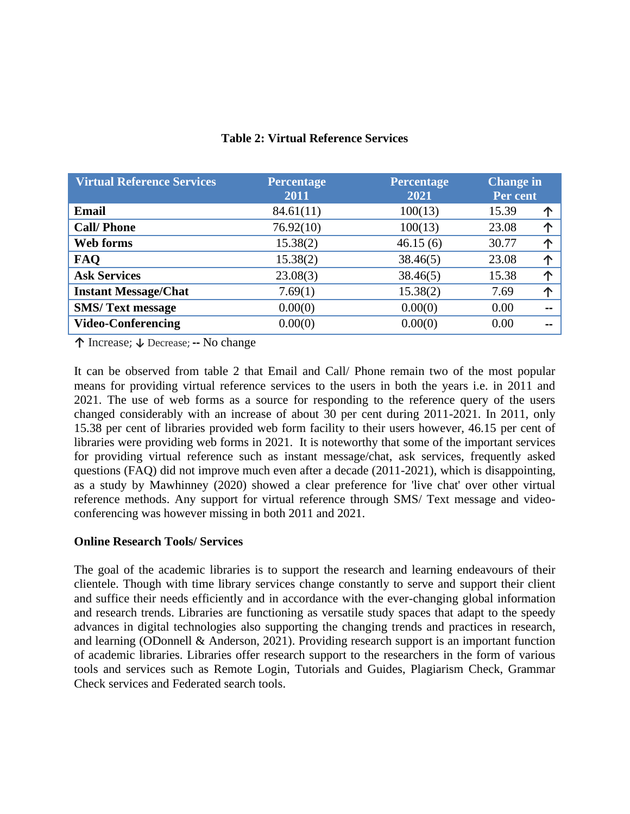| <b>Virtual Reference Services</b> | <b>Percentage</b><br>2011 | <b>Percentage</b><br>2021 |       | <b>Change in</b><br>Per cent |  |
|-----------------------------------|---------------------------|---------------------------|-------|------------------------------|--|
| <b>Email</b>                      | 84.61(11)                 | 100(13)                   | 15.39 | 个                            |  |
| <b>Call/Phone</b>                 | 76.92(10)                 | 100(13)                   | 23.08 |                              |  |
| Web forms                         | 15.38(2)                  | 46.15(6)                  | 30.77 |                              |  |
| <b>FAQ</b>                        | 15.38(2)                  | 38.46(5)                  | 23.08 | $\triangleright$             |  |
| <b>Ask Services</b>               | 23.08(3)                  | 38.46(5)                  | 15.38 | $\sqrt{ }$                   |  |
| <b>Instant Message/Chat</b>       | 7.69(1)                   | 15.38(2)                  | 7.69  | ́∩                           |  |
| <b>SMS/Text message</b>           | 0.00(0)                   | 0.00(0)                   | 0.00  |                              |  |
| <b>Video-Conferencing</b>         | 0.00(0)                   | 0.00(0)                   | 0.00  |                              |  |

# **Table 2: Virtual Reference Services**

**↑** Increase; **↓** Decrease; **--** No change

It can be observed from table 2 that Email and Call/ Phone remain two of the most popular means for providing virtual reference services to the users in both the years i.e. in 2011 and 2021. The use of web forms as a source for responding to the reference query of the users changed considerably with an increase of about 30 per cent during 2011-2021. In 2011, only 15.38 per cent of libraries provided web form facility to their users however, 46.15 per cent of libraries were providing web forms in 2021. It is noteworthy that some of the important services for providing virtual reference such as instant message/chat, ask services, frequently asked questions (FAQ) did not improve much even after a decade (2011-2021), which is disappointing, as a study by Mawhinney (2020) showed a clear preference for 'live chat' over other virtual reference methods. Any support for virtual reference through SMS/ Text message and videoconferencing was however missing in both 2011 and 2021.

# **Online Research Tools/ Services**

The goal of the academic libraries is to support the research and learning endeavours of their clientele. Though with time library services change constantly to serve and support their client and suffice their needs efficiently and in accordance with the ever-changing global information and research trends. Libraries are functioning as versatile study spaces that adapt to the speedy advances in digital technologies also supporting the changing trends and practices in research, and learning (ODonnell & Anderson, 2021). Providing research support is an important function of academic libraries. Libraries offer research support to the researchers in the form of various tools and services such as Remote Login, Tutorials and Guides, Plagiarism Check, Grammar Check services and Federated search tools.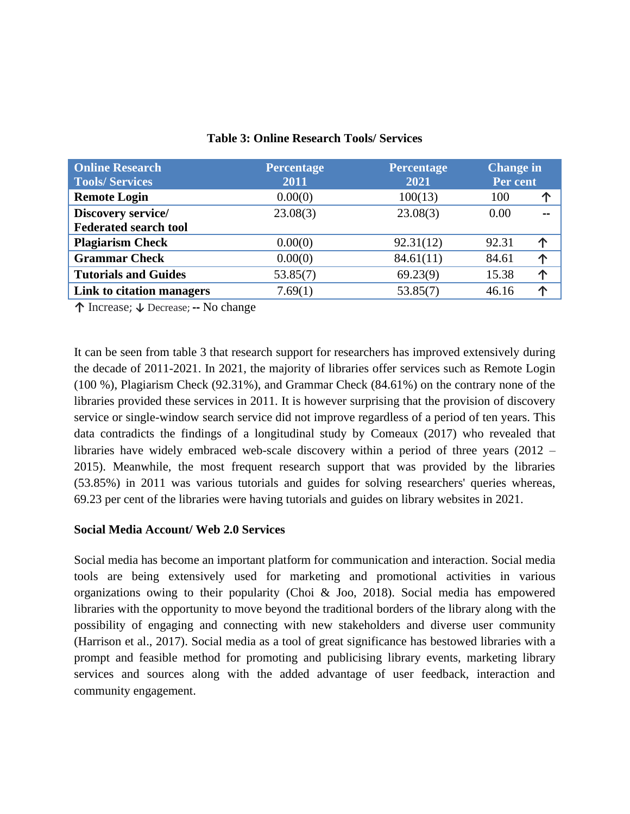| <b>Online Research</b><br><b>Tools/Services</b> | <b>Percentage</b><br>2011 | <b>Percentage</b><br>2021 | <b>Change in</b><br>Per cent |   |
|-------------------------------------------------|---------------------------|---------------------------|------------------------------|---|
| <b>Remote Login</b>                             | 0.00(0)                   | 100(13)                   | 100                          | 个 |
| Discovery service/                              | 23.08(3)                  | 23.08(3)                  | 0.00                         |   |
| <b>Federated search tool</b>                    |                           |                           |                              |   |
| <b>Plagiarism Check</b>                         | 0.00(0)                   | 92.31(12)                 | 92.31                        |   |
| <b>Grammar Check</b>                            | 0.00(0)                   | 84.61(11)                 | 84.61                        | 个 |
| <b>Tutorials and Guides</b>                     | 53.85(7)                  | 69.23(9)                  | 15.38                        | ጥ |
| Link to citation managers                       | 7.69(1)                   | 53.85(7)                  | 46.16                        |   |

# **Table 3: Online Research Tools/ Services**

**↑** Increase; **↓** Decrease; **--** No change

It can be seen from table 3 that research support for researchers has improved extensively during the decade of 2011-2021. In 2021, the majority of libraries offer services such as Remote Login (100 %), Plagiarism Check (92.31%), and Grammar Check (84.61%) on the contrary none of the libraries provided these services in 2011. It is however surprising that the provision of discovery service or single-window search service did not improve regardless of a period of ten years. This data contradicts the findings of a longitudinal study by Comeaux (2017) who revealed that libraries have widely embraced web-scale discovery within a period of three years (2012 – 2015). Meanwhile, the most frequent research support that was provided by the libraries (53.85%) in 2011 was various tutorials and guides for solving researchers' queries whereas, 69.23 per cent of the libraries were having tutorials and guides on library websites in 2021.

# **Social Media Account/ Web 2.0 Services**

Social media has become an important platform for communication and interaction. Social media tools are being extensively used for marketing and promotional activities in various organizations owing to their popularity (Choi & Joo, 2018). Social media has empowered libraries with the opportunity to move beyond the traditional borders of the library along with the possibility of engaging and connecting with new stakeholders and diverse user community (Harrison et al., 2017). Social media as a tool of great significance has bestowed libraries with a prompt and feasible method for promoting and publicising library events, marketing library services and sources along with the added advantage of user feedback, interaction and community engagement.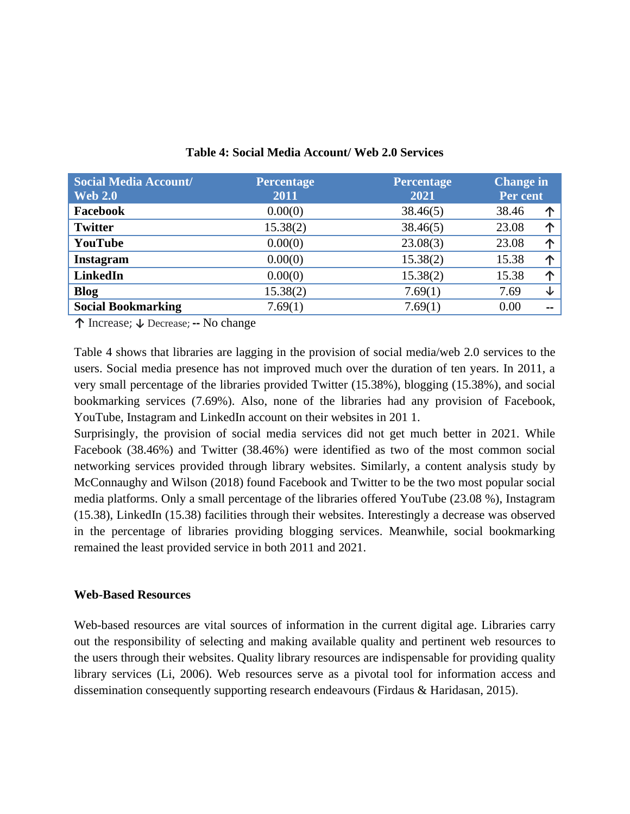| <b>Social Media Account/</b><br><b>Web 2.0</b> | <b>Percentage</b><br>2011 | <b>Percentage</b><br>2021 |       | <b>Change in</b><br>Per cent |  |
|------------------------------------------------|---------------------------|---------------------------|-------|------------------------------|--|
| Facebook                                       | 0.00(0)                   | 38.46(5)                  | 38.46 | 个                            |  |
| <b>Twitter</b>                                 | 15.38(2)                  | 38.46(5)                  | 23.08 | 个                            |  |
| YouTube                                        | 0.00(0)                   | 23.08(3)                  | 23.08 | 个                            |  |
| <b>Instagram</b>                               | 0.00(0)                   | 15.38(2)                  | 15.38 | 个                            |  |
| <b>LinkedIn</b>                                | 0.00(0)                   | 15.38(2)                  | 15.38 | 个                            |  |
| <b>Blog</b>                                    | 15.38(2)                  | 7.69(1)                   | 7.69  | ↓                            |  |
| <b>Social Bookmarking</b>                      | 7.69(1)                   | 7.69(1)                   | 0.00  |                              |  |

**Table 4: Social Media Account/ Web 2.0 Services**

**↑** Increase; **↓** Decrease; **--** No change

Table 4 shows that libraries are lagging in the provision of social media/web 2.0 services to the users. Social media presence has not improved much over the duration of ten years. In 2011, a very small percentage of the libraries provided Twitter (15.38%), blogging (15.38%), and social bookmarking services (7.69%). Also, none of the libraries had any provision of Facebook, YouTube, Instagram and LinkedIn account on their websites in 201 1.

Surprisingly, the provision of social media services did not get much better in 2021. While Facebook (38.46%) and Twitter (38.46%) were identified as two of the most common social networking services provided through library websites. Similarly, a content analysis study by McConnaughy and Wilson (2018) found Facebook and Twitter to be the two most popular social media platforms. Only a small percentage of the libraries offered YouTube (23.08 %), Instagram (15.38), LinkedIn (15.38) facilities through their websites. Interestingly a decrease was observed in the percentage of libraries providing blogging services. Meanwhile, social bookmarking remained the least provided service in both 2011 and 2021.

# **Web-Based Resources**

Web-based resources are vital sources of information in the current digital age. Libraries carry out the responsibility of selecting and making available quality and pertinent web resources to the users through their websites. Quality library resources are indispensable for providing quality library services (Li, 2006). Web resources serve as a pivotal tool for information access and dissemination consequently supporting research endeavours (Firdaus & Haridasan, 2015).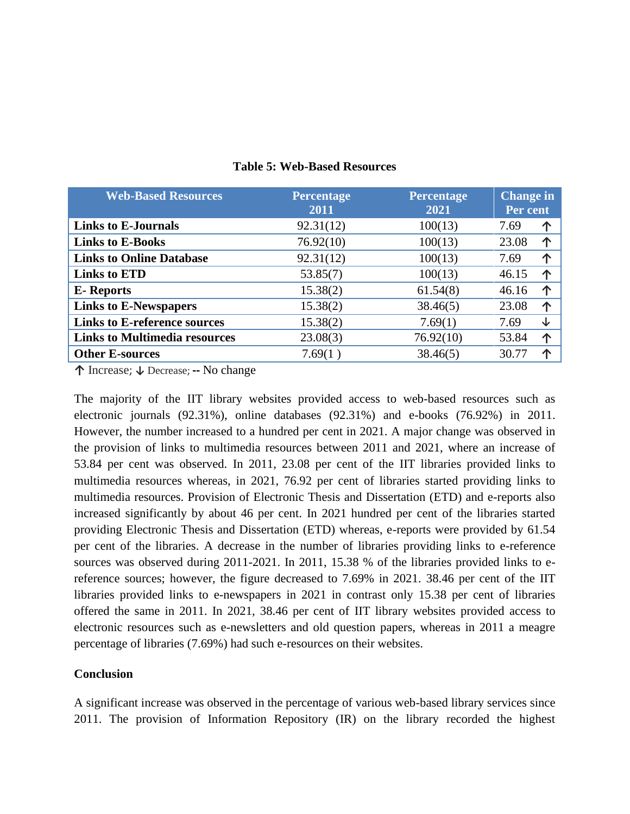| <b>Web-Based Resources</b>           | Percentage<br>2011 | <b>Percentage</b><br>2021 | <b>Change in</b><br>Per cent |   |
|--------------------------------------|--------------------|---------------------------|------------------------------|---|
| <b>Links to E-Journals</b>           | 92.31(12)          | 100(13)                   | 7.69                         | 个 |
| <b>Links to E-Books</b>              | 76.92(10)          | 100(13)                   | 23.08                        | 个 |
| <b>Links to Online Database</b>      | 92.31(12)          | 100(13)                   | 7.69                         | 个 |
| <b>Links to ETD</b>                  | 53.85(7)           | 100(13)                   | 46.15                        |   |
| <b>E</b> -Reports                    | 15.38(2)           | 61.54(8)                  | 46.16                        | 个 |
| <b>Links to E-Newspapers</b>         | 15.38(2)           | 38.46(5)                  | 23.08                        | 个 |
| <b>Links to E-reference sources</b>  | 15.38(2)           | 7.69(1)                   | 7.69                         | ↓ |
| <b>Links to Multimedia resources</b> | 23.08(3)           | 76.92(10)                 | 53.84                        | 个 |
| <b>Other E-sources</b>               | 7.69(1)            | 38.46(5)                  | 30.77                        |   |

# **Table 5: Web-Based Resources**

**↑** Increase; **↓** Decrease; **--** No change

The majority of the IIT library websites provided access to web-based resources such as electronic journals (92.31%), online databases (92.31%) and e-books (76.92%) in 2011. However, the number increased to a hundred per cent in 2021. A major change was observed in the provision of links to multimedia resources between 2011 and 2021, where an increase of 53.84 per cent was observed. In 2011, 23.08 per cent of the IIT libraries provided links to multimedia resources whereas, in 2021, 76.92 per cent of libraries started providing links to multimedia resources. Provision of Electronic Thesis and Dissertation (ETD) and e-reports also increased significantly by about 46 per cent. In 2021 hundred per cent of the libraries started providing Electronic Thesis and Dissertation (ETD) whereas, e-reports were provided by 61.54 per cent of the libraries. A decrease in the number of libraries providing links to e-reference sources was observed during 2011-2021. In 2011, 15.38 % of the libraries provided links to ereference sources; however, the figure decreased to 7.69% in 2021. 38.46 per cent of the IIT libraries provided links to e-newspapers in 2021 in contrast only 15.38 per cent of libraries offered the same in 2011. In 2021, 38.46 per cent of IIT library websites provided access to electronic resources such as e-newsletters and old question papers, whereas in 2011 a meagre percentage of libraries (7.69%) had such e-resources on their websites.

# **Conclusion**

A significant increase was observed in the percentage of various web-based library services since 2011. The provision of Information Repository (IR) on the library recorded the highest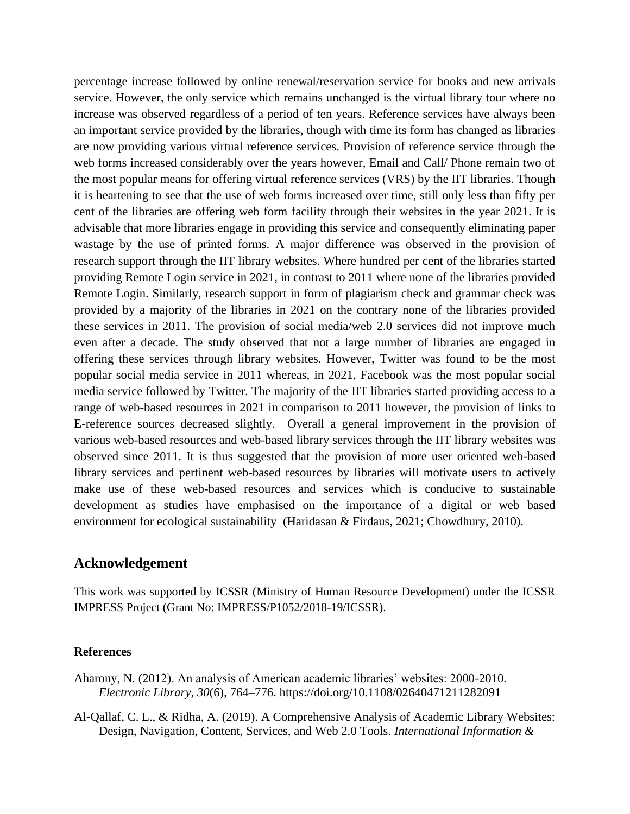percentage increase followed by online renewal/reservation service for books and new arrivals service. However, the only service which remains unchanged is the virtual library tour where no increase was observed regardless of a period of ten years. Reference services have always been an important service provided by the libraries, though with time its form has changed as libraries are now providing various virtual reference services. Provision of reference service through the web forms increased considerably over the years however, Email and Call/ Phone remain two of the most popular means for offering virtual reference services (VRS) by the IIT libraries. Though it is heartening to see that the use of web forms increased over time, still only less than fifty per cent of the libraries are offering web form facility through their websites in the year 2021. It is advisable that more libraries engage in providing this service and consequently eliminating paper wastage by the use of printed forms. A major difference was observed in the provision of research support through the IIT library websites. Where hundred per cent of the libraries started providing Remote Login service in 2021, in contrast to 2011 where none of the libraries provided Remote Login. Similarly, research support in form of plagiarism check and grammar check was provided by a majority of the libraries in 2021 on the contrary none of the libraries provided these services in 2011. The provision of social media/web 2.0 services did not improve much even after a decade. The study observed that not a large number of libraries are engaged in offering these services through library websites. However, Twitter was found to be the most popular social media service in 2011 whereas, in 2021, Facebook was the most popular social media service followed by Twitter. The majority of the IIT libraries started providing access to a range of web-based resources in 2021 in comparison to 2011 however, the provision of links to E-reference sources decreased slightly. Overall a general improvement in the provision of various web-based resources and web-based library services through the IIT library websites was observed since 2011. It is thus suggested that the provision of more user oriented web-based library services and pertinent web-based resources by libraries will motivate users to actively make use of these web-based resources and services which is conducive to sustainable development as studies have emphasised on the importance of a digital or web based environment for ecological sustainability (Haridasan & Firdaus, 2021; Chowdhury, 2010).

# **Acknowledgement**

This work was supported by ICSSR (Ministry of Human Resource Development) under the ICSSR IMPRESS Project (Grant No: IMPRESS/P1052/2018-19/ICSSR).

# **References**

Aharony, N. (2012). An analysis of American academic libraries' websites: 2000-2010. *Electronic Library*, *30*(6), 764–776. https://doi.org/10.1108/02640471211282091

Al-Qallaf, C. L., & Ridha, A. (2019). A Comprehensive Analysis of Academic Library Websites: Design, Navigation, Content, Services, and Web 2.0 Tools. *International Information &*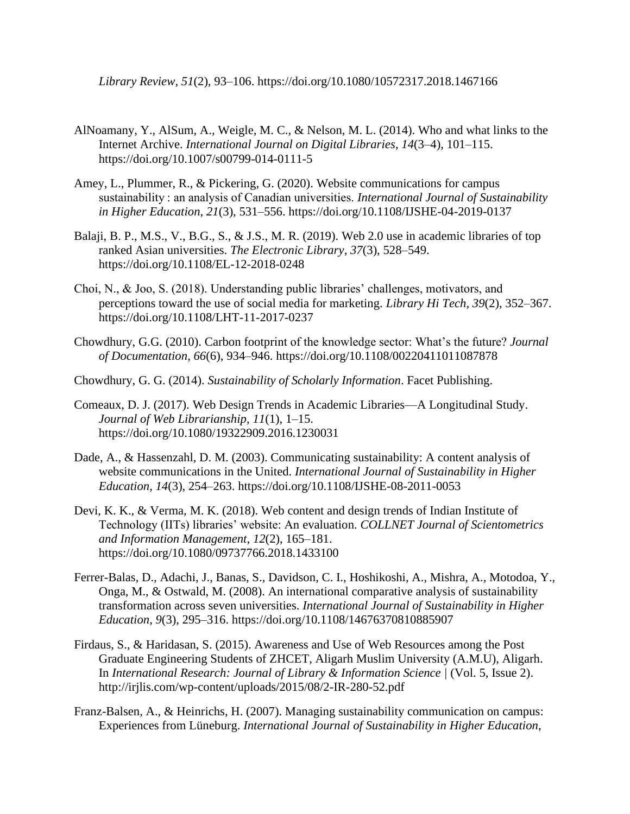*Library Review*, *51*(2), 93–106. https://doi.org/10.1080/10572317.2018.1467166

- AlNoamany, Y., AlSum, A., Weigle, M. C., & Nelson, M. L. (2014). Who and what links to the Internet Archive. *International Journal on Digital Libraries*, *14*(3–4), 101–115. https://doi.org/10.1007/s00799-014-0111-5
- Amey, L., Plummer, R., & Pickering, G. (2020). Website communications for campus sustainability : an analysis of Canadian universities. *International Journal of Sustainability in Higher Education*, *21*(3), 531–556. https://doi.org/10.1108/IJSHE-04-2019-0137
- Balaji, B. P., M.S., V., B.G., S., & J.S., M. R. (2019). Web 2.0 use in academic libraries of top ranked Asian universities. *The Electronic Library*, *37*(3), 528–549. https://doi.org/10.1108/EL-12-2018-0248
- Choi, N., & Joo, S. (2018). Understanding public libraries' challenges, motivators, and perceptions toward the use of social media for marketing. *Library Hi Tech*, *39*(2), 352–367. https://doi.org/10.1108/LHT-11-2017-0237
- Chowdhury, G.G. (2010). Carbon footprint of the knowledge sector: What's the future? *Journal of Documentation*, *66*(6), 934–946. https://doi.org/10.1108/00220411011087878
- Chowdhury, G. G. (2014). *Sustainability of Scholarly Information*. Facet Publishing.
- Comeaux, D. J. (2017). Web Design Trends in Academic Libraries—A Longitudinal Study. *Journal of Web Librarianship*, *11*(1), 1–15. https://doi.org/10.1080/19322909.2016.1230031
- Dade, A., & Hassenzahl, D. M. (2003). Communicating sustainability: A content analysis of website communications in the United. *International Journal of Sustainability in Higher Education*, *14*(3), 254–263. https://doi.org/10.1108/IJSHE-08-2011-0053
- Devi, K. K., & Verma, M. K. (2018). Web content and design trends of Indian Institute of Technology (IITs) libraries' website: An evaluation. *COLLNET Journal of Scientometrics and Information Management*, *12*(2), 165–181. https://doi.org/10.1080/09737766.2018.1433100
- Ferrer-Balas, D., Adachi, J., Banas, S., Davidson, C. I., Hoshikoshi, A., Mishra, A., Motodoa, Y., Onga, M., & Ostwald, M. (2008). An international comparative analysis of sustainability transformation across seven universities. *International Journal of Sustainability in Higher Education*, *9*(3), 295–316. https://doi.org/10.1108/14676370810885907
- Firdaus, S., & Haridasan, S. (2015). Awareness and Use of Web Resources among the Post Graduate Engineering Students of ZHCET, Aligarh Muslim University (A.M.U), Aligarh. In *International Research: Journal of Library & Information Science |* (Vol. 5, Issue 2). http://irjlis.com/wp-content/uploads/2015/08/2-IR-280-52.pdf
- Franz-Balsen, A., & Heinrichs, H. (2007). Managing sustainability communication on campus: Experiences from Lüneburg. *International Journal of Sustainability in Higher Education*,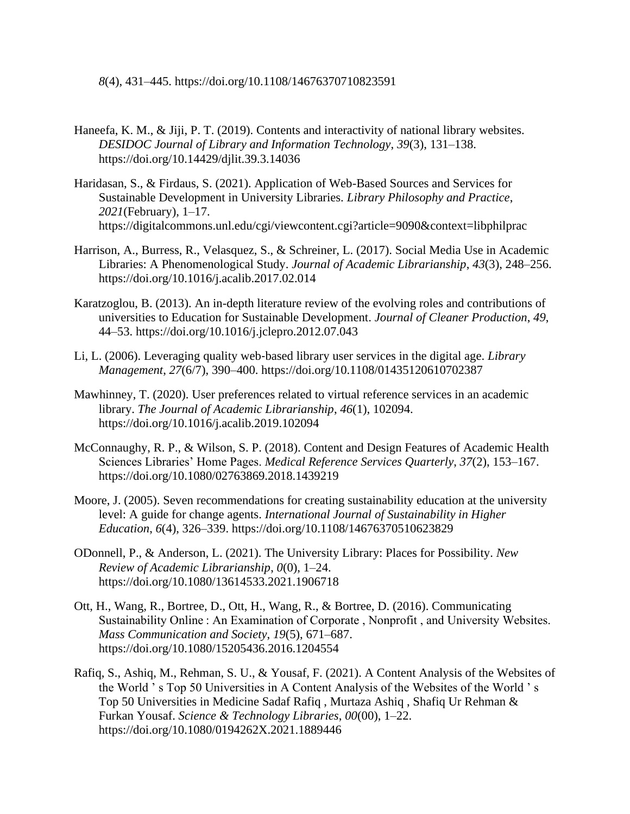*8*(4), 431–445. https://doi.org/10.1108/14676370710823591

- Haneefa, K. M., & Jiji, P. T. (2019). Contents and interactivity of national library websites. *DESIDOC Journal of Library and Information Technology*, *39*(3), 131–138. https://doi.org/10.14429/djlit.39.3.14036
- Haridasan, S., & Firdaus, S. (2021). Application of Web-Based Sources and Services for Sustainable Development in University Libraries. *Library Philosophy and Practice*, *2021*(February), 1–17. https://digitalcommons.unl.edu/cgi/viewcontent.cgi?article=9090&context=libphilprac
- Harrison, A., Burress, R., Velasquez, S., & Schreiner, L. (2017). Social Media Use in Academic Libraries: A Phenomenological Study. *Journal of Academic Librarianship*, *43*(3), 248–256. https://doi.org/10.1016/j.acalib.2017.02.014
- Karatzoglou, B. (2013). An in-depth literature review of the evolving roles and contributions of universities to Education for Sustainable Development. *Journal of Cleaner Production*, *49*, 44–53. https://doi.org/10.1016/j.jclepro.2012.07.043
- Li, L. (2006). Leveraging quality web‐based library user services in the digital age. *Library Management*, *27*(6/7), 390–400. https://doi.org/10.1108/01435120610702387
- Mawhinney, T. (2020). User preferences related to virtual reference services in an academic library. *The Journal of Academic Librarianship*, *46*(1), 102094. https://doi.org/10.1016/j.acalib.2019.102094
- McConnaughy, R. P., & Wilson, S. P. (2018). Content and Design Features of Academic Health Sciences Libraries' Home Pages. *Medical Reference Services Quarterly*, *37*(2), 153–167. https://doi.org/10.1080/02763869.2018.1439219
- Moore, J. (2005). Seven recommendations for creating sustainability education at the university level: A guide for change agents. *International Journal of Sustainability in Higher Education*, *6*(4), 326–339. https://doi.org/10.1108/14676370510623829
- ODonnell, P., & Anderson, L. (2021). The University Library: Places for Possibility. *New Review of Academic Librarianship*, *0*(0), 1–24. https://doi.org/10.1080/13614533.2021.1906718
- Ott, H., Wang, R., Bortree, D., Ott, H., Wang, R., & Bortree, D. (2016). Communicating Sustainability Online : An Examination of Corporate , Nonprofit , and University Websites. *Mass Communication and Society*, *19*(5), 671–687. https://doi.org/10.1080/15205436.2016.1204554
- Rafiq, S., Ashiq, M., Rehman, S. U., & Yousaf, F. (2021). A Content Analysis of the Websites of the World ' s Top 50 Universities in A Content Analysis of the Websites of the World ' s Top 50 Universities in Medicine Sadaf Rafiq , Murtaza Ashiq , Shafiq Ur Rehman & Furkan Yousaf. *Science & Technology Libraries*, *00*(00), 1–22. https://doi.org/10.1080/0194262X.2021.1889446